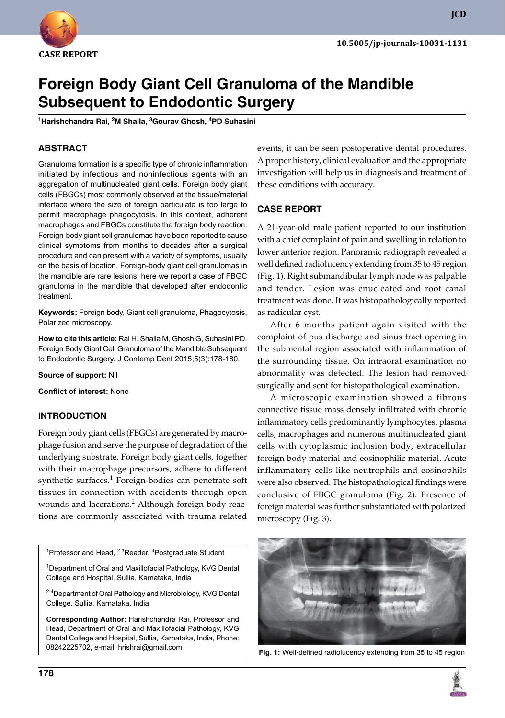

**JCD**

# **Foreign Body Giant Cell Granuloma of the Mandible Subsequent to Endodontic Surgery**

**1 Harishchandra Rai, 2 M Shaila, 3 Gourav Ghosh, 4 PD Suhasini**

### **ABSTRACT**

Granuloma formation is a specific type of chronic inflammation initiated by infectious and noninfectious agents with an aggregation of multinucleated giant cells. Foreign body giant cells (FBGCs) most commonly observed at the tissue/material interface where the size of foreign particulate is too large to permit macrophage phagocytosis. In this context, adherent macrophages and FBGCs constitute the foreign body reaction. Foreign-body giant cell granulomas have been reported to cause clinical symptoms from months to decades after a surgical procedure and can present with a variety of symptoms, usually on the basis of location. Foreign-body giant cell granulomas in the mandible are rare lesions, here we report a case of FBGC granuloma in the mandible that developed after endodontic treatment.

**Keywords:** Foreign body, Giant cell granuloma, Phagocytosis, Polarized microscopy.

**How to cite this article:** Rai H, Shaila M, Ghosh G, Suhasini PD. Foreign Body Giant Cell Granuloma of the Mandible Subsequent to Endodontic Surgery. J Contemp Dent 2015;5(3):178-180.

**Source of support:** Nil

**Conflict of interest:** None

#### **Introduction**

Foreign body giant cells (FBGCs) are generated by macrophage fusion and serve the purpose of degradation of the underlying substrate. Foreign body giant cells, together with their macrophage precursors, adhere to different synthetic surfaces.<sup>1</sup> Foreign-bodies can penetrate soft tissues in connection with accidents through open wounds and lacerations.<sup>2</sup> Although foreign body reactions are commonly associated with trauma related

<sup>1</sup>Professor and Head, <sup>2,3</sup>Reader, <sup>4</sup>Postgraduate Student

<sup>1</sup>Department of Oral and Maxillofacial Pathology, KVG Dental College and Hospital, Sullia, Karnataka, India

<sup>2-4</sup>Department of Oral Pathology and Microbiology, KVG Dental College, Sullia, Karnataka, India

**Corresponding Author:** Harishchandra Rai, Professor and Head, Department of Oral and Maxillofacial Pathology, KVG Dental College and Hospital, Sullia, Karnataka, India, Phone: 08242225702, e-mail: hrishrai@gmail.com

events, it can be seen postoperative dental procedures. A proper history, clinical evaluation and the appropriate investigation will help us in diagnosis and treatment of these conditions with accuracy.

#### **Case REPORT**

A 21-year-old male patient reported to our institution with a chief complaint of pain and swelling in relation to lower anterior region. Panoramic radiograph revealed a well defined radiolucency extending from 35 to 45 region (Fig. 1). Right submandibular lymph node was palpable and tender. Lesion was enucleated and root canal treatment was done. It was histopathologically reported as radicular cyst.

After 6 months patient again visited with the complaint of pus discharge and sinus tract opening in the submental region associated with inflammation of the surrounding tissue. On intraoral examination no abnormality was detected. The lesion had removed surgically and sent for histopathological examination.

A microscopic examination showed a fibrous connective tissue mass densely infiltrated with chronic inflammatory cells predominantly lymphocytes, plasma cells, macrophages and numerous multinucleated giant cells with cytoplasmic inclusion body, extracellular foreign body material and eosinophilic material. Acute inflammatory cells like neutrophils and eosinophils were also observed. The histopathological findings were conclusive of FBGC granuloma (Fig. 2). Presence of foreign material was further substantiated with polarized microscopy (Fig. 3).



**Fig. 1:** Well-defined radiolucency extending from 35 to 45 region

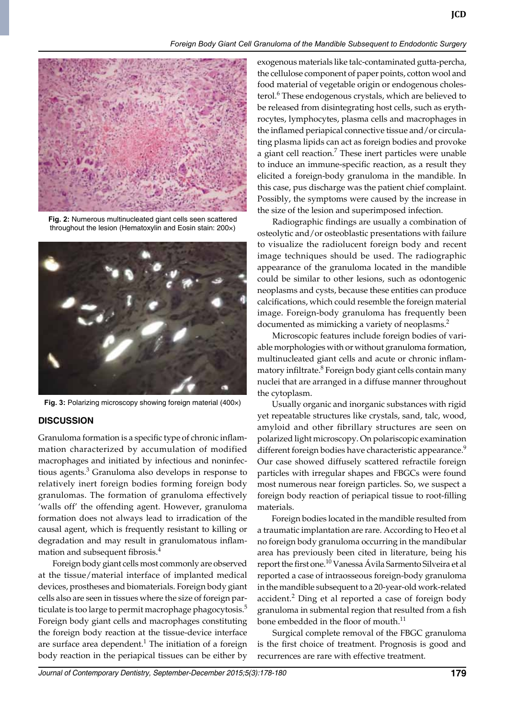

**Fig. 2:** Numerous multinucleated giant cells seen scattered throughout the lesion (Hematoxylin and Eosin stain: 200×)



**Fig. 3:** Polarizing microscopy showing foreign material (400×)

#### **Discussion**

Granuloma formation is a specific type of chronic inflammation characterized by accumulation of modified macrophages and initiated by infectious and noninfectious agents.<sup>3</sup> Granuloma also develops in response to relatively inert foreign bodies forming foreign body granulomas. The formation of granuloma effectively 'walls off' the offending agent. However, granuloma formation does not always lead to irradication of the causal agent, which is frequently resistant to killing or degradation and may result in granulomatous inflammation and subsequent fibrosis.4

 Foreign body giant cells most commonly are observed at the tissue/material interface of implanted medical devices, prostheses and biomaterials. Foreign body giant cells also are seen in tissues where the size of foreign particulate is too large to permit macrophage phagocytosis.<sup>5</sup> Foreign body giant cells and macrophages constituting the foreign body reaction at the tissue-device interface are surface area dependent.<sup>1</sup> The initiation of a foreign body reaction in the periapical tissues can be either by

exogenous materials like talc-contaminated gutta-percha, the cellulose component of paper points, cotton wool and food material of vegetable origin or endogenous cholesterol.<sup>6</sup> These endogenous crystals, which are believed to be released from disintegrating host cells, such as erythrocytes, lymphocytes, plasma cells and macrophages in the inflamed periapical connective tissue and/or circulating plasma lipids can act as foreign bodies and provoke a giant cell reaction.<sup>7</sup> These inert particles were unable to induce an immune-specific reaction, as a result they elicited a foreign-body granuloma in the mandible. In this case, pus discharge was the patient chief complaint. Possibly, the symptoms were caused by the increase in the size of the lesion and superimposed infection.

**JCD**

 Radiographic findings are usually a combination of osteolytic and/or osteoblastic presentations with failure to visualize the radiolucent foreign body and recent image techniques should be used. The radiographic appearance of the granuloma located in the mandible could be similar to other lesions, such as odontogenic neoplasms and cysts, because these entities can produce calcifications, which could resemble the foreign material image. Foreign-body granuloma has frequently been documented as mimicking a variety of neoplasms.<sup>2</sup>

 Microscopic features include foreign bodies of variable morphologies with or without granuloma formation, multinucleated giant cells and acute or chronic inflammatory infiltrate.<sup>8</sup> Foreign body giant cells contain many nuclei that are arranged in a diffuse manner throughout the cytoplasm.

 Usually organic and inorganic substances with rigid yet repeatable structures like crystals, sand, talc, wood, amyloid and other fibrillary structures are seen on polarized light microscopy. On polariscopic examination different foreign bodies have characteristic appearance.<sup>9</sup> Our case showed diffusely scattered refractile foreign particles with irregular shapes and FBGCs were found most numerous near foreign particles. So, we suspect a foreign body reaction of periapical tissue to root-filling materials.

 Foreign bodies located in the mandible resulted from a traumatic implantation are rare. According to Heo et al no foreign body granuloma occurring in the mandibular area has previously been cited in literature, being his report the first one.<sup>10</sup> Vanessa Ávila Sarmento Silveira et al reported a case of intraosseous foreign-body granuloma in the mandible subsequent to a 20-year-old work-related accident.<sup>2</sup> Ding et al reported a case of foreign body granuloma in submental region that resulted from a fish bone embedded in the floor of mouth.<sup>11</sup>

 Surgical complete removal of the FBGC granuloma is the first choice of treatment. Prognosis is good and recurrences are rare with effective treatment.